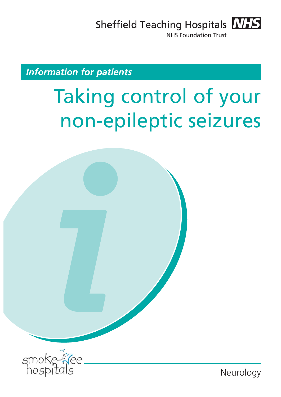Sheffield Teaching Hospitals MHS

**NHS Foundation Trust** 

## *Information for patients*

# Taking control of your non-epileptic seizures



Neurology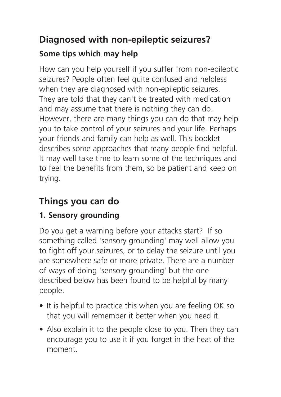# **Diagnosed with non-epileptic seizures?**

## **Some tips which may help**

How can you help yourself if you suffer from non-epileptic seizures? People often feel quite confused and helpless when they are diagnosed with non-epileptic seizures. They are told that they can't be treated with medication and may assume that there is nothing they can do. However, there are many things you can do that may help you to take control of your seizures and your life. Perhaps your friends and family can help as well. This booklet describes some approaches that many people find helpful. It may well take time to learn some of the techniques and to feel the benefits from them, so be patient and keep on trying.

# **Things you can do**

## **1. Sensory grounding**

Do you get a warning before your attacks start? If so something called 'sensory grounding' may well allow you to fight off your seizures, or to delay the seizure until you are somewhere safe or more private. There are a number of ways of doing 'sensory grounding' but the one described below has been found to be helpful by many people.

- It is helpful to practice this when you are feeling OK so that you will remember it better when you need it.
- Also explain it to the people close to you. Then they can encourage you to use it if you forget in the heat of the moment.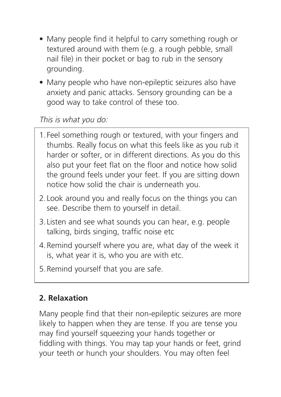- Many people find it helpful to carry something rough or textured around with them (e.g. a rough pebble, small nail file) in their pocket or bag to rub in the sensory grounding.
- Many people who have non-epileptic seizures also have anxiety and panic attacks. Sensory grounding can be a good way to take control of these too.

This is what you do:

- 1.Feel something rough or textured, with your fingers and thumbs. Really focus on what this feels like as you rub it harder or softer, or in different directions. As you do this also put your feet flat on the floor and notice how solid the ground feels under your feet. If you are sitting down notice how solid the chair is underneath you.
- 2.Look around you and really focus on the things you can see. Describe them to yourself in detail.
- 3.Listen and see what sounds you can hear, e.g. people talking, birds singing, traffic noise etc
- 4.Remind yourself where you are, what day of the week it is, what year it is, who you are with etc.
- 5.Remind yourself that you are safe.

#### **2. Relaxation**

Many people find that their non-epileptic seizures are more likely to happen when they are tense. If you are tense you may find yourself squeezing your hands together or fiddling with things. You may tap your hands or feet, grind your teeth or hunch your shoulders. You may often feel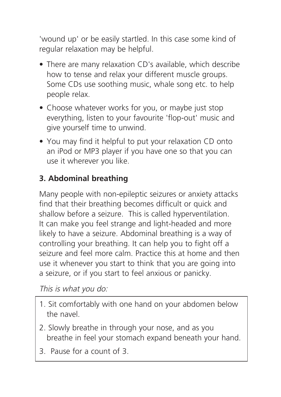'wound up' or be easily startled. In this case some kind of regular relaxation may be helpful.

- There are many relaxation CD's available, which describe how to tense and relax your different muscle groups. Some CDs use soothing music, whale song etc. to help people relax.
- Choose whatever works for you, or maybe just stop everything, listen to your favourite 'flop-out' music and give yourself time to unwind.
- You may find it helpful to put your relaxation CD onto an iPod or MP3 player if you have one so that you can use it wherever you like.

## **3. Abdominal breathing**

Many people with non-epileptic seizures or anxiety attacks find that their breathing becomes difficult or quick and shallow before a seizure. This is called hyperventilation. It can make you feel strange and light-headed and more likely to have a seizure. Abdominal breathing is a way of controlling your breathing. It can help you to fight off a seizure and feel more calm. Practice this at home and then use it whenever you start to think that you are going into a seizure, or if you start to feel anxious or panicky.

This is what you do:

- 1. Sit comfortably with one hand on your abdomen below the navel.
- 2. Slowly breathe in through your nose, and as you breathe in feel your stomach expand beneath your hand.
- 3. Pause for a count of 3.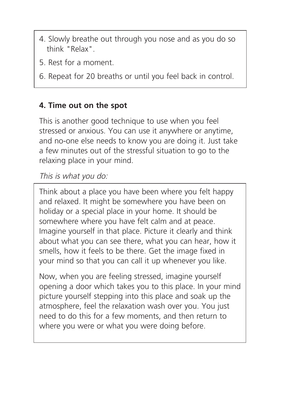- 4. Slowly breathe out through you nose and as you do so think "Relax".
- 5. Rest for a moment.
- 6. Repeat for 20 breaths or until you feel back in control.

#### **4. Time out on the spot**

This is another good technique to use when you feel stressed or anxious. You can use it anywhere or anytime, and no-one else needs to know you are doing it. Just take a few minutes out of the stressful situation to go to the relaxing place in your mind.

This is what you do:

Think about a place you have been where you felt happy and relaxed. It might be somewhere you have been on holiday or a special place in your home. It should be somewhere where you have felt calm and at peace. Imagine yourself in that place. Picture it clearly and think about what you can see there, what you can hear, how it smells, how it feels to be there. Get the image fixed in your mind so that you can call it up whenever you like.

Now, when you are feeling stressed, imagine yourself opening a door which takes you to this place. In your mind picture yourself stepping into this place and soak up the atmosphere, feel the relaxation wash over you. You just need to do this for a few moments, and then return to where you were or what you were doing before.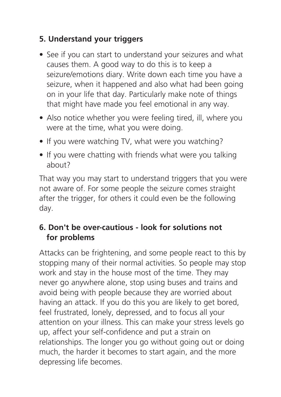#### **5. Understand your triggers**

- See if you can start to understand your seizures and what causes them. A good way to do this is to keep a seizure/emotions diary. Write down each time you have a seizure, when it happened and also what had been going on in your life that day. Particularly make note of things that might have made you feel emotional in any way.
- Also notice whether you were feeling tired, ill, where you were at the time, what you were doing.
- If you were watching TV, what were you watching?
- If you were chatting with friends what were you talking about?

That way you may start to understand triggers that you were not aware of. For some people the seizure comes straight after the trigger, for others it could even be the following day.

#### **6. Don't be over-cautious - look for solutions not for problems**

Attacks can be frightening, and some people react to this by stopping many of their normal activities. So people may stop work and stay in the house most of the time. They may never go anywhere alone, stop using buses and trains and avoid being with people because they are worried about having an attack. If you do this you are likely to get bored, feel frustrated, lonely, depressed, and to focus all your attention on your illness. This can make your stress levels go up, affect your self-confidence and put a strain on relationships. The longer you go without going out or doing much, the harder it becomes to start again, and the more depressing life becomes.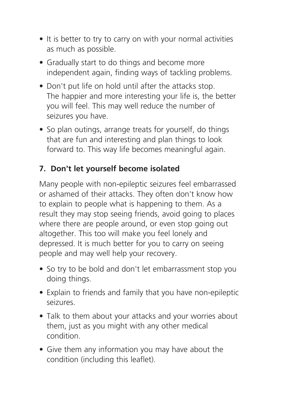- It is better to try to carry on with your normal activities as much as possible.
- Gradually start to do things and become more independent again, finding ways of tackling problems.
- Don't put life on hold until after the attacks stop. The happier and more interesting your life is, the better you will feel. This may well reduce the number of seizures you have.
- So plan outings, arrange treats for yourself, do things that are fun and interesting and plan things to look forward to. This way life becomes meaningful again.

## **7. Don't let yourself become isolated**

Many people with non-epileptic seizures feel embarrassed or ashamed of their attacks. They often don't know how to explain to people what is happening to them. As a result they may stop seeing friends, avoid going to places where there are people around, or even stop going out altogether. This too will make you feel lonely and depressed. It is much better for you to carry on seeing people and may well help your recovery.

- So try to be bold and don't let embarrassment stop you doing things.
- Explain to friends and family that you have non-epileptic seizures.
- Talk to them about your attacks and your worries about them, just as you might with any other medical condition.
- Give them any information you may have about the condition (including this leaflet).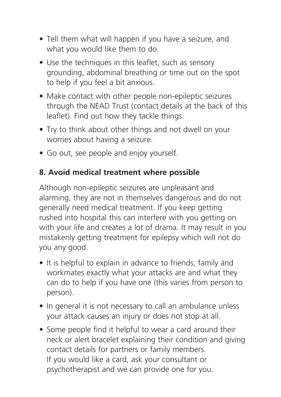- Tell them what will happen if you have a seizure, and what you would like them to do.
- Use the techniques in this leaflet, such as sensory grounding, abdominal breathing or time out on the spot to help if you feel a bit anxious.
- Make contact with other people non-epileptic seizures through the NEAD Trust (contact details at the back of this leaflet). Find out how they tackle things.
- Try to think about other things and not dwell on your worries about having a seizure.
- Go out, see people and enjoy yourself.

#### **8. Avoid medical treatment where possible**

Although non-epileptic seizures are unpleasant and alarming, they are not in themselves dangerous and do not generally need medical treatment. If you keep getting rushed into hospital this can interfere with you getting on with your life and creates a lot of drama. It may result in you mistakenly getting treatment for epilepsy which will not do you any good.

- It is helpful to explain in advance to friends, family and workmates exactly what your attacks are and what they can do to help if you have one (this varies from person to person).
- In general it is not necessary to call an ambulance unless your attack causes an injury or does not stop at all.
- Some people find it helpful to wear a card around their neck or alert bracelet explaining their condition and giving contact details for partners or family members. If you would like a card, ask your consultant or psychotherapist and we can provide one for you.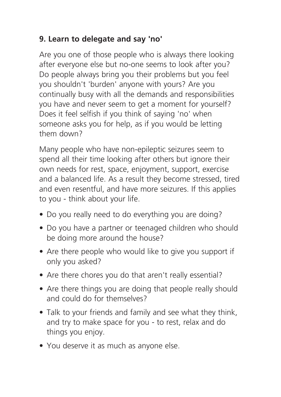#### **9. Learn to delegate and say 'no'**

Are you one of those people who is always there looking after everyone else but no-one seems to look after you? Do people always bring you their problems but you feel you shouldn't 'burden' anyone with yours? Are you continually busy with all the demands and responsibilities you have and never seem to get a moment for yourself? Does it feel selfish if you think of saying 'no' when someone asks you for help, as if you would be letting them down?

Many people who have non-epileptic seizures seem to spend all their time looking after others but ignore their own needs for rest, space, enjoyment, support, exercise and a balanced life. As a result they become stressed, tired and even resentful, and have more seizures. If this applies to you - think about your life.

- Do you really need to do everything you are doing?
- Do you have a partner or teenaged children who should be doing more around the house?
- Are there people who would like to give you support if only you asked?
- Are there chores you do that aren't really essential?
- Are there things you are doing that people really should and could do for themselves?
- Talk to your friends and family and see what they think, and try to make space for you - to rest, relax and do things you enjoy.
- You deserve it as much as anyone else.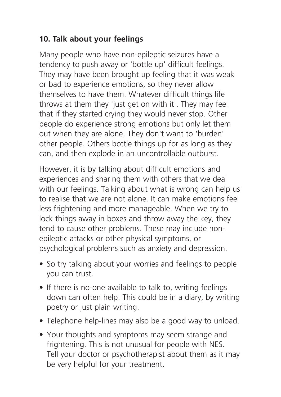#### **10. Talk about your feelings**

Many people who have non-epileptic seizures have a tendency to push away or 'bottle up' difficult feelings. They may have been brought up feeling that it was weak or bad to experience emotions, so they never allow themselves to have them. Whatever difficult things life throws at them they 'just get on with it'. They may feel that if they started crying they would never stop. Other people do experience strong emotions but only let them out when they are alone. They don't want to 'burden' other people. Others bottle things up for as long as they can, and then explode in an uncontrollable outburst.

However, it is by talking about difficult emotions and experiences and sharing them with others that we deal with our feelings. Talking about what is wrong can help us to realise that we are not alone. It can make emotions feel less frightening and more manageable. When we try to lock things away in boxes and throw away the key, they tend to cause other problems. These may include nonepileptic attacks or other physical symptoms, or psychological problems such as anxiety and depression.

- So try talking about your worries and feelings to people you can trust.
- If there is no-one available to talk to, writing feelings down can often help. This could be in a diary, by writing poetry or just plain writing.
- Telephone help-lines may also be a good way to unload.
- Your thoughts and symptoms may seem strange and frightening. This is not unusual for people with NES. Tell your doctor or psychotherapist about them as it may be very helpful for your treatment.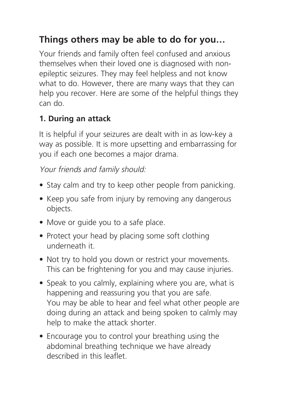# **Things others may be able to do for you…**

Your friends and family often feel confused and anxious themselves when their loved one is diagnosed with nonepileptic seizures. They may feel helpless and not know what to do. However, there are many ways that they can help you recover. Here are some of the helpful things they can do.

#### **1. During an attack**

It is helpful if your seizures are dealt with in as low-key a way as possible. It is more upsetting and embarrassing for you if each one becomes a major drama.

Your friends and family should:

- Stay calm and try to keep other people from panicking.
- Keep you safe from injury by removing any dangerous objects.
- Move or guide you to a safe place.
- Protect your head by placing some soft clothing underneath it.
- Not try to hold you down or restrict your movements. This can be frightening for you and may cause injuries.
- Speak to you calmly, explaining where you are, what is happening and reassuring you that you are safe. You may be able to hear and feel what other people are doing during an attack and being spoken to calmly may help to make the attack shorter.
- Encourage you to control your breathing using the abdominal breathing technique we have already described in this leaflet.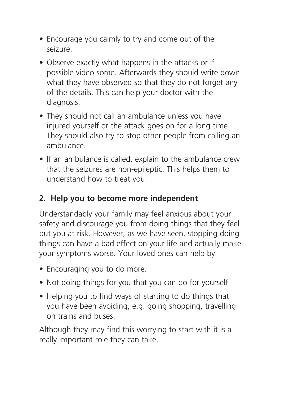- Encourage you calmly to try and come out of the seizure.
- Observe exactly what happens in the attacks or if possible video some. Afterwards they should write down what they have observed so that they do not forget any of the details. This can help your doctor with the diagnosis.
- They should not call an ambulance unless you have injured yourself or the attack goes on for a long time. They should also try to stop other people from calling an ambulance.
- If an ambulance is called, explain to the ambulance crew that the seizures are non-epileptic. This helps them to understand how to treat you.

#### **2. Help you to become more independent**

Understandably your family may feel anxious about your safety and discourage you from doing things that they feel put you at risk. However, as we have seen, stopping doing things can have a bad effect on your life and actually make your symptoms worse. Your loved ones can help by:

- Encouraging you to do more.
- Not doing things for you that you can do for yourself
- Helping you to find ways of starting to do things that you have been avoiding, e.g. going shopping, travelling on trains and buses.

Although they may find this worrying to start with it is a really important role they can take.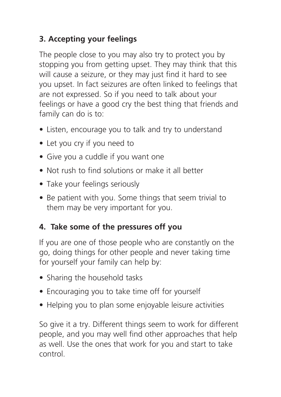#### **3. Accepting your feelings**

The people close to you may also try to protect you by stopping you from getting upset. They may think that this will cause a seizure, or they may just find it hard to see you upset. In fact seizures are often linked to feelings that are not expressed. So if you need to talk about your feelings or have a good cry the best thing that friends and family can do is to:

- Listen, encourage you to talk and try to understand
- Let you cry if you need to
- Give you a cuddle if you want one
- Not rush to find solutions or make it all better
- Take your feelings seriously
- Be patient with you. Some things that seem trivial to them may be very important for you.

#### **4. Take some of the pressures off you**

If you are one of those people who are constantly on the go, doing things for other people and never taking time for yourself your family can help by:

- Sharing the household tasks
- Encouraging you to take time off for yourself
- Helping you to plan some enjoyable leisure activities

So give it a try. Different things seem to work for different people, and you may well find other approaches that help as well. Use the ones that work for you and start to take control.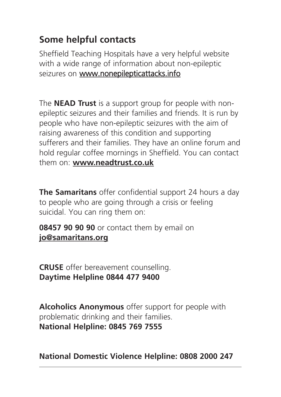# **Some helpful contacts**

Sheffield Teaching Hospitals have a very helpful website with a wide range of information about non-epileptic seizures on www.nonepilepticattacks.info

The **NEAD Trust** is a support group for people with nonepileptic seizures and their families and friends. It is run by people who have non-epileptic seizures with the aim of raising awareness of this condition and supporting sufferers and their families. They have an online forum and hold regular coffee mornings in Sheffield. You can contact them on: **www.neadtrust.co.uk**

**The Samaritans** offer confidential support 24 hours a day to people who are going through a crisis or feeling suicidal. You can ring them on:

**08457 90 90 90** or contact them by email on **jo@samaritans.org**

**CRUSE** offer bereavement counselling. **Daytime Helpline 0844 477 9400**

**Alcoholics Anonymous** offer support for people with problematic drinking and their families. **National Helpline: 0845 769 7555**

**National Domestic Violence Helpline: 0808 2000 247**